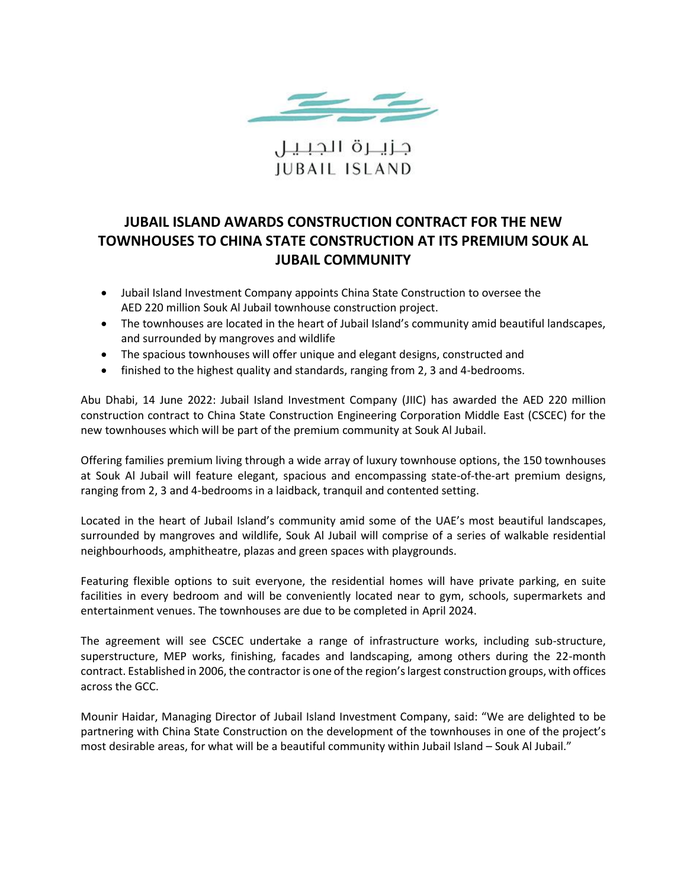

جزيــرة الجبـيـل **IUBAIL ISLAND** 

## **JUBAIL ISLAND AWARDS CONSTRUCTION CONTRACT FOR THE NEW TOWNHOUSES TO CHINA STATE CONSTRUCTION AT ITS PREMIUM SOUK AL JUBAIL COMMUNITY**

- Jubail Island Investment Company appoints China State Construction to oversee the AED 220 million Souk Al Jubail townhouse construction project.
- The townhouses are located in the heart of Jubail Island's community amid beautiful landscapes, and surrounded by mangroves and wildlife
- The spacious townhouses will offer unique and elegant designs, constructed and
- finished to the highest quality and standards, ranging from 2, 3 and 4-bedrooms.

Abu Dhabi, 14 June 2022: Jubail Island Investment Company (JIIC) has awarded the AED 220 million construction contract to China State Construction Engineering Corporation Middle East (CSCEC) for the new townhouses which will be part of the premium community at Souk Al Jubail.

Offering families premium living through a wide array of luxury townhouse options, the 150 townhouses at Souk Al Jubail will feature elegant, spacious and encompassing state-of-the-art premium designs, ranging from 2, 3 and 4-bedrooms in a laidback, tranquil and contented setting.

Located in the heart of Jubail Island's community amid some of the UAE's most beautiful landscapes, surrounded by mangroves and wildlife, Souk Al Jubail will comprise of a series of walkable residential neighbourhoods, amphitheatre, plazas and green spaces with playgrounds.

Featuring flexible options to suit everyone, the residential homes will have private parking, en suite facilities in every bedroom and will be conveniently located near to gym, schools, supermarkets and entertainment venues. The townhouses are due to be completed in April 2024.

The agreement will see CSCEC undertake a range of infrastructure works, including sub-structure, superstructure, MEP works, finishing, facades and landscaping, among others during the 22-month contract. Established in 2006, the contractor is one of the region's largest construction groups, with offices across the GCC.

Mounir Haidar, Managing Director of Jubail Island Investment Company, said: "We are delighted to be partnering with China State Construction on the development of the townhouses in one of the project's most desirable areas, for what will be a beautiful community within Jubail Island – Souk Al Jubail."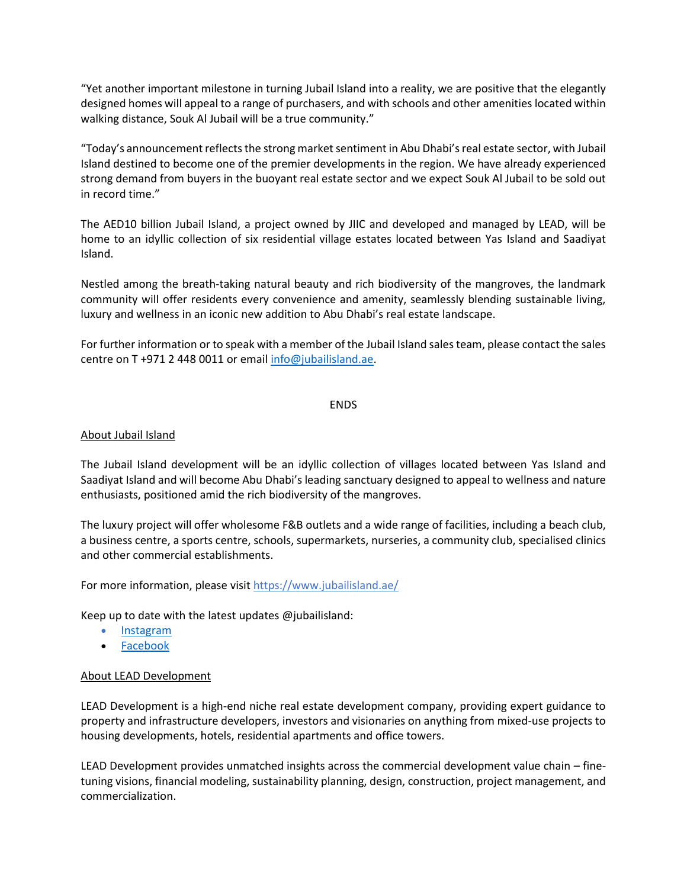"Yet another important milestone in turning Jubail Island into a reality, we are positive that the elegantly designed homes will appeal to a range of purchasers, and with schools and other amenities located within walking distance, Souk Al Jubail will be a true community."

"Today's announcement reflects the strong market sentiment in Abu Dhabi's real estate sector, with Jubail Island destined to become one of the premier developments in the region. We have already experienced strong demand from buyers in the buoyant real estate sector and we expect Souk Al Jubail to be sold out in record time."

The AED10 billion Jubail Island, a project owned by JIIC and developed and managed by LEAD, will be home to an idyllic collection of six residential village estates located between Yas Island and Saadiyat Island.

Nestled among the breath-taking natural beauty and rich biodiversity of the mangroves, the landmark community will offer residents every convenience and amenity, seamlessly blending sustainable living, luxury and wellness in an iconic new addition to Abu Dhabi's real estate landscape.

For further information or to speak with a member of the Jubail Island sales team, please contact the sales centre on T +971 2 448 0011 or email [info@jubailisland.ae.](mailto:info@jubailisland.ae)

## ENDS

## About Jubail Island

The Jubail Island development will be an idyllic collection of villages located between Yas Island and Saadiyat Island and will become Abu Dhabi's leading sanctuary designed to appeal to wellness and nature enthusiasts, positioned amid the rich biodiversity of the mangroves.

The luxury project will offer wholesome F&B outlets and a wide range of facilities, including a beach club, a business centre, a sports centre, schools, supermarkets, nurseries, a community club, specialised clinics and other commercial establishments.

For more information, please visit <https://www.jubailisland.ae/>

Keep up to date with the latest updates @jubailisland:

- [Instagram](https://www.instagram.com/jubailisland/)
- [Facebook](https://www.facebook.com/JubailIsland/)

## About LEAD Development

LEAD Development is a high-end niche real estate development company, providing expert guidance to property and infrastructure developers, investors and visionaries on anything from mixed-use projects to housing developments, hotels, residential apartments and office towers.

LEAD Development provides unmatched insights across the commercial development value chain – finetuning visions, financial modeling, sustainability planning, design, construction, project management, and commercialization.